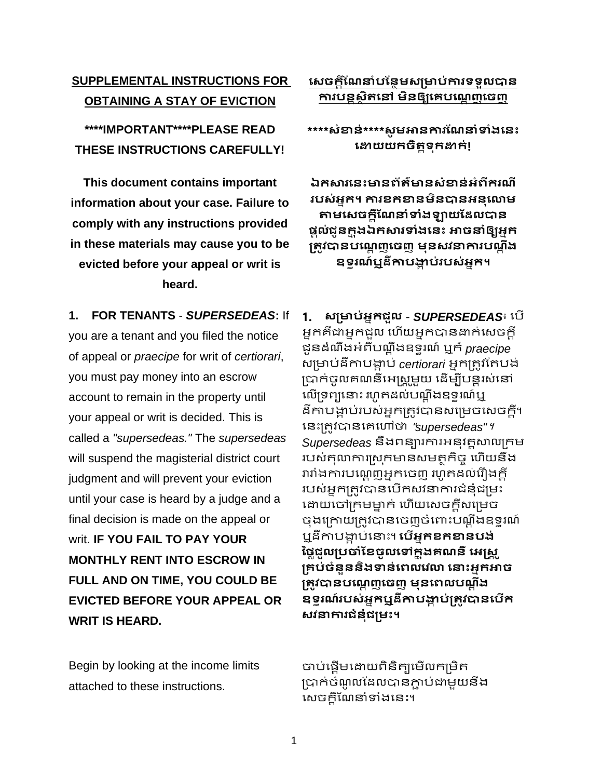## **សេចក្ដីណែនាំបណថែមេម្រាប់ការទទួលបាថ** ការបន្តសិតនៅ មិនឲ្យគេបណ្តេញចេញ

**\*\*\*\*េាំខាថ់\*\*\*\*េូ មអាថការណែនាំទាំងសថេះ សោយយក្ចិតតទុក្ោក្់!**

**ឯក្សារសថេះាថព័ត៌ាថេាំខាថ់អាំពីក្រែី របេ់អនក្។ ការខក្ខាថមិថបាថអថុសោម តាមសេចក្ដីណែនាំទាំងឡាយណែលបាថ ផ្ដល់ជូថក្ន ុងឯក្សារទាំងសថេះ អាចនាំឲ្យអនក្** <u>ម្រ</u>ូវបានបណ្តេញចេញ មុនសវនាការបណ្តឹង **ឧទធរែ៍ឬែីកាបង្គា ប់របេ់អនក្។**

**1. សម្រាប់អ្នកជួល - SUPERSEDEAS**៖ បើ អ្នកគឺជាអ្នកជួល ហើយអ្នកបានដាក់សេចក្តី ជូនដំណឹងអ្ំពី ណដ ឹងឧទ្ធរណ៍ ឬក៏ *praecipe* សម្រាប់ដីកាបង្គាប់ *certiorari* អ្នកត្រូវតែបង់ ប្រាក់ចូលគណនីអេស្រួមួយ ដើម្បីបន្តរស់នៅ លើទ្រព្យនោះ រហូតដល់បណ្ឌឹងឧទ្ធរណ៍ឬ ឌីកាបង្គាប់របស់អ្នកត្រូវបានសម្រេចសេចក្តី។ បនោះម្ររូវបានបគបៅថា "*supersedeas"*។ *Supersedeas* នឹងពនារការអ្នុវរតសាលម្រកម របស់គុលាការស្រុកមានសមត្ថកិច្ច ហើយនឹង រារាំងការបណ្តេញអ្នកចេញ រហូតដល់រឿងក្តី របស់អ្នកត្រូវបានបើកសវនាការជំនុំជម្រះ ដោយចៅក្រមម្នាក់ ហើយសេចក្តីសម្រេច ចុងក្រោយត្រូវបានចេញចំពោះបណ្ឌឹងឧទ្ទរណ៍ ឬដីកាបង្គាប់នោះ។ **បើអ្នកខកខានបង់** ថ្លៃជួលប្រចាំខែចូលទៅក្នុង**គណនី អេ**ស្ត្រ **ម្រេប់ចាំថួថថិងទថ់សពលសវោ សនេះអនក្អាច** <u>ម្រូ</u>វបានបណ្តេញចេញ មុនពេលបណ្តឹង **ឧទធរែ៍របេ់អនក្ឬែីកាបង្គាបម្រតូវ ់ បាថសបើក្ េវនការជាំថុាំជម្រមេះ។**

បាប់ផ្ដើមដោយពិនិត្យមើលកម្រិត ម្របាក់ចំណូ លតដលបានភ្ជា ់ជាមួយនឹង សេចក្តីណែនាំទាំងនេះ។

# **SUPPLEMENTAL INSTRUCTIONS FOR OBTAINING A STAY OF EVICTION**

**\*\*\*\*IMPORTANT\*\*\*\*PLEASE READ THESE INSTRUCTIONS CAREFULLY!**

**This document contains important information about your case. Failure to comply with any instructions provided in these materials may cause you to be evicted before your appeal or writ is heard.**

**1. FOR TENANTS** - *SUPERSEDEAS***:** If you are a tenant and you filed the notice of appeal or *praecipe* for writ of *certiorari*, you must pay money into an escrow account to remain in the property until your appeal or writ is decided. This is called a *"supersedeas."* The *supersedeas* will suspend the magisterial district court judgment and will prevent your eviction until your case is heard by a judge and a final decision is made on the appeal or writ. **IF YOU FAIL TO PAY YOUR MONTHLY RENT INTO ESCROW IN FULL AND ON TIME, YOU COULD BE EVICTED BEFORE YOUR APPEAL OR WRIT IS HEARD.**

Begin by looking at the income limits attached to these instructions.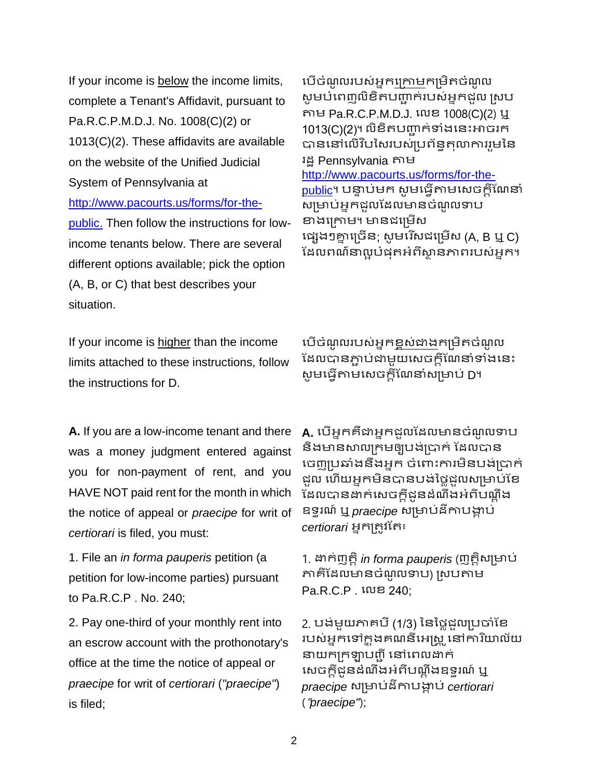If your income is below the income limits, complete a Tenant's Affidavit, pursuant to Pa.R.C.P.M.D.J. No. 1008(C)(2) or 1013(C)(2). These affidavits are available on the website of the Unified Judicial System of Pennsylvania at [http://www.pacourts.us/forms/for-the](http://www.pacourts.us/forms/for-the-public.)[public.](http://www.pacourts.us/forms/for-the-public.) Then follow the instructions for low-

income tenants below. There are several different options available; pick the option (A, B, or C) that best describes your situation.

If your income is higher than the income limits attached to these instructions, follow the instructions for D.

**A.** If you are a low-income tenant and there was a money judgment entered against you for non-payment of rent, and you HAVE NOT paid rent for the month in which the notice of appeal or *praecipe* for writ of *certiorari* is filed, you must:

1. File an *in forma pauperis* petition (a petition for low-income parties) pursuant to Pa.R.C.P . No. 240;

2. Pay one-third of your monthly rent into an escrow account with the prothonotary's office at the time the notice of appeal or *praecipe* for writ of *certiorari* (*"praecipe"*) is filed;

បើចំណូលរបស់អ្នកក្រោមកម្រិតចំណូល សូមបំពេញលិខិតបញ្ជាក់របស់អ្នកដួល ស្រប តាម Pa.R.C.P.M.D.J. បលខ 1008(C)(2) ឬ 1013(C)(2)។ លិខិតបញ្ជាក់ទាំងនេះអាចរក បាននៅលើវិបសៃរបស់ប្រព័ន្ធតុលាការរួមនៃ រដ្ឋ Pennsylvania តាម [http://www.pacourts.us/forms/for-the](http://www.pacourts.us/forms/for-the-public)[public](http://www.pacourts.us/forms/for-the-public)។ បន្ទាប់មក សូមធ្វើតាមសេចក្តីណែនាំ សម្រាប់អ្នកជួលដែលមានចំណូលទាប ខាងក្រោម។ មានដម្រើស ប្េងៗគ្ននបម្រចើន; េូ មបរ ើេជបម្រមើេ (A, B ឬ C)

ឌែលពណ៌នាល្ងបំផុតអំពីស្ថានភាពរបស់អ្នក។

បើចំណូលរបស់អ្នក<u>ខ្ពស់ជា</u>ងកម្រិតចំណូល ដែលបានភ្ជាប់ជាមួយសេចក្តីណែនាំទាំងនេះ សូមធ្វើតាមសេចក្តីណែនាំសម្រាប់ D។

**A.** បើអ្នកគឺជាអ្នកដួលដែលមានចំណូលទាប និងមានសាលក្រមឲ្យបង់ប្រាក់ ដែលបាន ចេញប្រឆាំងនឹងអ្នក ចំពោះការមិនបង់ប្រាក់ ជួល ហើយអ្នកមិនបានបង់ថ្លៃជួលសម្រាប់ខែ ឌែលបានដាក់សេចក្តីជូនដំណឹងអំពីបណ្តឹង ឧទ្ធរណ៍ ឬ *praecipe* េម្រា ់ដីកា ង្គា ់ *certiorari* អ្នកម្ររូវតរ៖

1. ដាក់ញរតិ*in forma pauperis* (ញរតិេម្រា ់ ភាគីដែលមានចំណូលទាប) ស្របតាម Pa.R.C.P . បលខ 240;

2. បង់មួយភាគបី (1/3) នៃថ្លៃដួលប្រចាំខែ របស់អ្នកទៅក្នុងគណនីអេស្រូ នៅការិយាល័យ នាយកក្រឡាបញ្ជី នៅពេលដាក់ សេចក្តីដូនដំណឹងអំពីបណ្តឹងឧទ្ធរណ៍ ឬ *praecipe* េម្រា ់ដីកា ង្គា ់ *certiorari* ("*praecipe"*);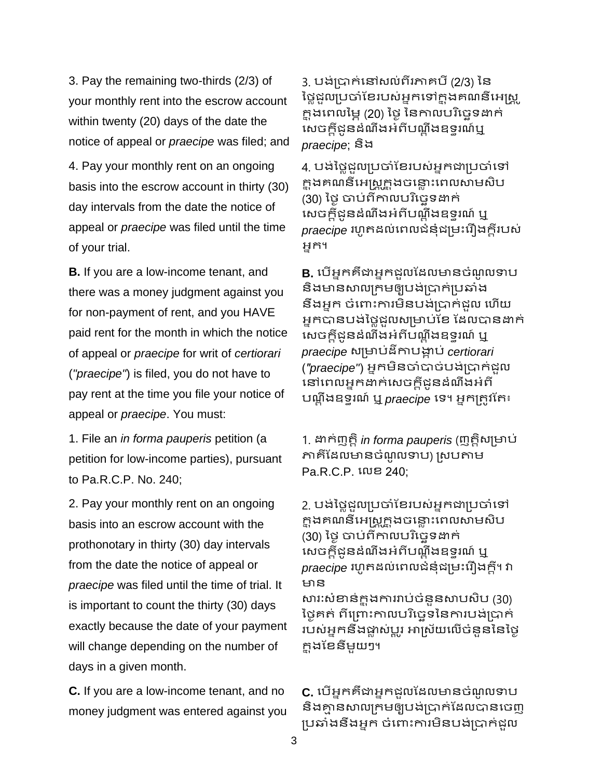3. Pay the remaining two-thirds (2/3) of your monthly rent into the escrow account within twenty (20) days of the date the notice of appeal or *praecipe* was filed; and

4. Pay your monthly rent on an ongoing basis into the escrow account in thirty (30) day intervals from the date the notice of appeal or *praecipe* was filed until the time of your trial.

**B.** If you are a low-income tenant, and there was a money judgment against you for non-payment of rent, and you HAVE paid rent for the month in which the notice of appeal or *praecipe* for writ of *certiorari* (*"praecipe"*) is filed, you do not have to pay rent at the time you file your notice of appeal or *praecipe*. You must:

1. File an *in forma pauperis* petition (a petition for low-income parties), pursuant to Pa.R.C.P. No. 240;

2. Pay your monthly rent on an ongoing basis into an escrow account with the prothonotary in thirty (30) day intervals from the date the notice of appeal or *praecipe* was filed until the time of trial. It is important to count the thirty (30) days exactly because the date of your payment will change depending on the number of days in a given month.

**C.** If you are a low-income tenant, and no money judgment was entered against you

3. បង់ប្រាក់នៅសល់ពីរភាគបី (2/3) នៃ ថ្លៃជួលប្រចាំខែរបស់អ្នកទៅក្នុងគណនីអេស្ត្រូ ក្នុងពេលម្អៃ (20) ថ្ងៃ នៃកាលបរិច្ឆេទដាក់ សេចក្តីដូនដំណឹងអំពីបណ្តឹងឧទ្ធរណ៍ឬ *praecipe*; និង

4. បង់ថ្លៃជួលប្រចាំខែរបស់អ្នកជាប្រចាំទៅ ក្នុងគណនីអេស្ត្រក្នុងចន្លោះពេលសាមសិប (30) ថ្ងៃ ចាប់ពីកាលបរិច្ឆេទដាក់ សេចក្តីដូនដំណឹងអំពីបណ្ឌឹងឧទ្ទរណ៍ ឬ *praecipe* រហូតដល់ពេលជំនុំជម្រះរឿងក្តីរបស់ អ្នក។

**B.** បើអ្នកគឺជាអ្នកជួលដែលមានចំណូលទាប និងមានសាលក្រមឲ្យបង់ប្រាក់ប្រឆាំង នឹងអ្នក ចំពោះការមិនបង់ប្រាក់ដួល ហើយ អ្នកបានបង់ថ្លៃដួលសម្រាប់ខែ ដែលបានដាក់ សេចក្តីជូនដំណឹងអំពីបណ្តឹងឧទ្ធរណ៍ ឬ *praecipe* េម្រា ់ដីកា ង្គា ់ *certiorari* (*"praecipe"*) អ្នកមិនចាំបាច់ ង់ម្របាក់ជួល បៅបពលអ្នកដាក់បេចកដីជូនដំណឹងអ្ំពី ណដ ឹងឧទ្ធរណ៍ ឬ *praecipe* បទ្។ អ្នកម្ររូវតរ៖

1. ដាក់ញរតិ *in forma pauperis* (ញរតិេម្រា ់ ភាគីដែលមានចំណូលទាប) ស្របតាម Pa.R.C.P. បលខ 240;

2. បង់ថ្លៃជួលប្រចាំខែរបស់អ្នកជាប្រចាំទៅ ក្នុងគណនីអេស្ត្រក្នុងចន្លោះពេលសាមសិប (30) ថៃ ចាប់ពីកាលបរិច្ឆេទដាក់ សេចក្តីដូនដំណឹងអំពីបណ្តឹងឧទ្ធរណ៍ ឬ *praecipe* រហូតដល់ពេលជំនុំជម្រះរឿងក្តី។ វា ាន

សារៈសំខាន់ក្នុងការរាប់ចំនួនសាបសិប (30) ថ្ងៃគត់ ពីព្រោះកាលបរិច្ចេទនៃការបង់ប្រាក់ របស់អ្នកនឹងផ្លាស់ប្តូរ អាស្រ័យលើចំនួននៃថ្ងៃ កន ុងតខនីមួយៗ។

**C.** បើអ្នកគឺជាអ្នកដួលដែលមានចំណូលទាប និងគ្មានសាលក្រមឲ្យបង់ប្រាក់ដែលបានចេញ ប្រឆាំងនឹងអ្នក ចំពោះការមិនបង់ប្រាក់ដួល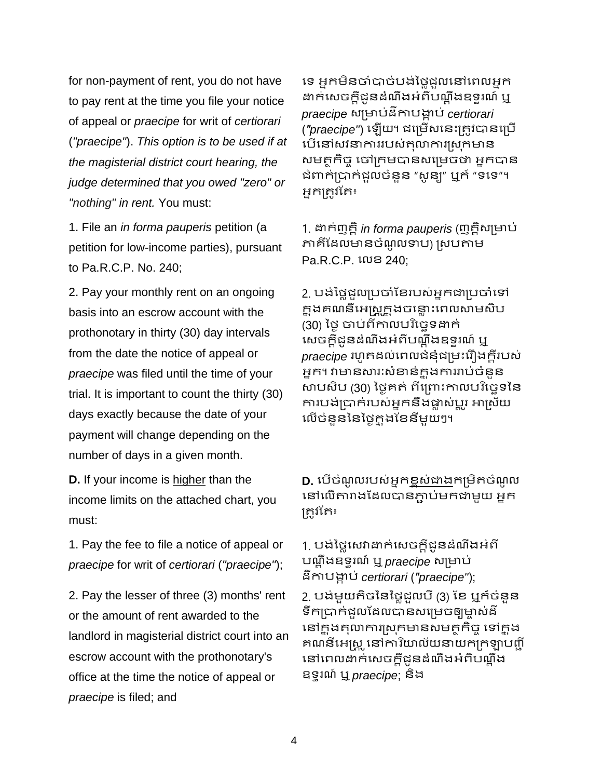for non-payment of rent, you do not have to pay rent at the time you file your notice of appeal or *praecipe* for writ of *certiorari*  (*"praecipe"*). *This option is to be used if at the magisterial district court hearing, the judge determined that you owed "zero" or "nothing" in rent.* You must:

1. File an *in forma pauperis* petition (a petition for low-income parties), pursuant to Pa.R.C.P. No. 240;

2. Pay your monthly rent on an ongoing basis into an escrow account with the prothonotary in thirty (30) day intervals from the date the notice of appeal or *praecipe* was filed until the time of your trial. It is important to count the thirty (30) days exactly because the date of your payment will change depending on the number of days in a given month.

**D.** If your income is higher than the income limits on the attached chart, you must:

1. Pay the fee to file a notice of appeal or *praecipe* for writ of *certiorari* (*"praecipe"*);

2. Pay the lesser of three (3) months' rent or the amount of rent awarded to the landlord in magisterial district court into an escrow account with the prothonotary's office at the time the notice of appeal or *praecipe* is filed; and

ទេ អ្នកមិនចាំបាច់បង់ថ្លៃជួលនៅពេលអ្នក ដាក់សេចក្តីដូនដំណឹងអំពីបណ្តឹងឧទ្ធរណ៍ ឬ *praecipe* េម្រា ់ដីកា ង្គា ់ *certiorari* ("praecipe") ឡើយ។ ជម្រើសនេះត្រូវបានប្រើ បើនៅសវនាការរបស់តុលាការស្រុកមាន សមត្ថកិច្ច ចៅក្រមបានសម្រេចថា អ្នកបាន ជំពាក់ប្រាក់ដួលចំនួន "សូន្យ" ឬក៍ "ទទេ"។ អ្នកម្ររូវតរ៖

1. ដាក់ញរតិ *in forma pauperis* (ញរតិេម្រា ់ ភាគីដែលមានចំណូលទាប) ស្របតាម Pa.R.C.P. បលខ 240;

2. បង់ថ្លៃជួលប្រចាំខែរបស់អ្នកជាប្រចាំទៅ ក្នុងគណនីអេស្ត្រូក្នុងចន្លោះពេលសាមសិប (30) ថ្ងៃ ចាប់ពីកាលបរិច្ឆេទដាក់ សេចក្តីដូនដំណឹងអំពីបណ្តឹងឧទ្ធរណ៍ ឬ *praecipe* រហូតដល់ពេលជំនុំជម្រះរឿងក្តីរបស់ អ្នក។ វាមានសារៈសំខាន់ក្នុងការរាប់ចំនួន សាបសិប (30) ថ្ងៃគត់ ពីព្រោះកាលបរិច្ចេទនៃ ការបង់ប្រាក់របស់អ្នកនឹងផ្លាស់ប្តូរ អាស្រ័យ លើចំនននៃថៃក្នុងខែនឹមយៗ។

**D.** បើចំណូលរបស់អ្នកខ្ពស់ជាងកម្រិតចំណូល នៅលើតារាងដែលបានភ្ជាប់មកជាមួយ អ្នក ម្ររូវតរ៖

### 1. បង់ថ្លៃសេវាដាក់សេចក្តីជូនដំណឹងអំពី ណដ ឹងឧទ្ធរណ៍ ឬ *praecipe* េម្រា ់ ដីកា ង្គា ់ *certiorari* (*"praecipe"*);

2. បង់មួយតិចនៃថ្លៃដួលបី (3) ខែ ឬក៍ចំនួន ទឹកប្រាក់ដលដែលបានសម្រេចឲ្យមាស់ដី នៅក្នុងតុលាការស្រុកមានសមត្ថកិច្ច ទៅក្នុង គណនីអេស្ត្រូ នៅការិយាល័យនាយកក្រឡាបញ្ចី នៅពេលដាក់សេចក្តីដូនដំណឹងអំពីបណ្តឹង ឧទ្ធរណ៍ ឬ *praecipe*; និង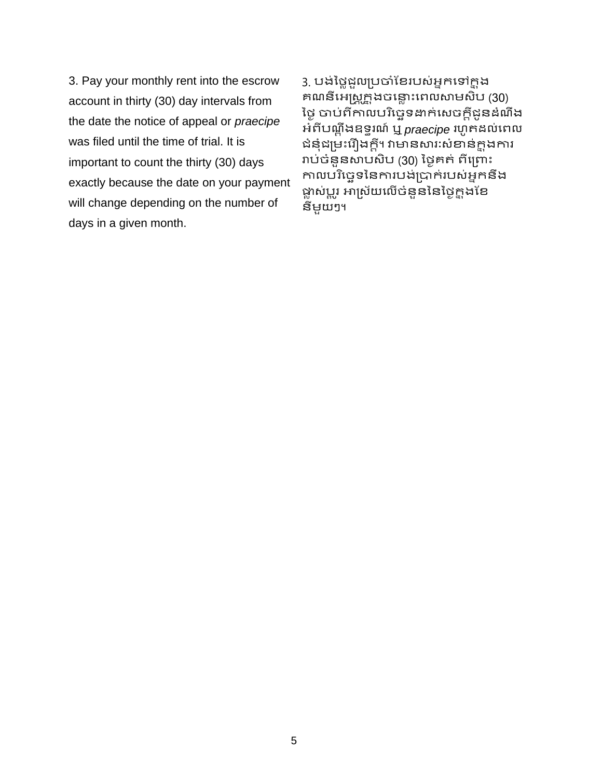3. Pay your monthly rent into the escrow account in thirty (30) day intervals from the date the notice of appeal or *praecipe* was filed until the time of trial. It is important to count the thirty (30) days exactly because the date on your payment will change depending on the number of days in a given month.

3. បង់ថ្លៃជួលប្រចាំខែរបស់អ្នកទៅក្នុង គណនីអេណ្ណ្រ្តិ៍ងចន្លោះពេលសាមសិប (30) ថ្ងៃ ចាប់ពីកាលបរិច្ឆេទដាក់សេចក្តីជូនដំណឹង អ្ំពី ណដ ឹងឧទ្ធរណ៍ ឬ *praecipe* រ ូ រដល់បពល ជំនុំជម្រះរឿងក្តី។ វាមានសារៈសំខាន់ក្តុងការ រាប់ចំនួនសាបសិប (30) ថ្ងៃគត់ ពីព្រោះ កាលបរិច្ចេទនៃការបង់ប្រាក់របស់អ្នកនឹង ផ្លាស់ប្តូរ អាស្រ័យលើចំនួននៃថ្ងៃ<u>ក្</u>នុងខែ នីមួយៗ។